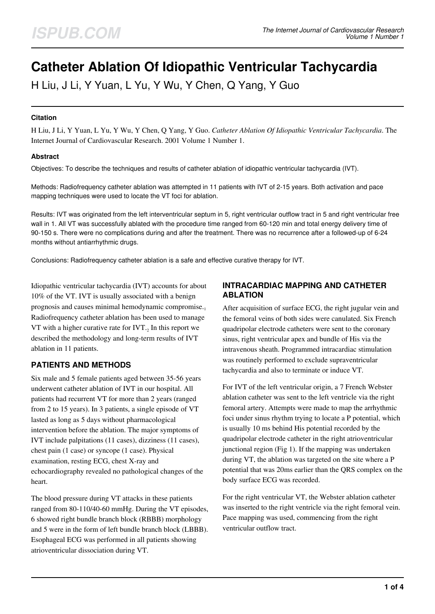# **Catheter Ablation Of Idiopathic Ventricular Tachycardia**

H Liu, J Li, Y Yuan, L Yu, Y Wu, Y Chen, Q Yang, Y Guo

#### **Citation**

H Liu, J Li, Y Yuan, L Yu, Y Wu, Y Chen, Q Yang, Y Guo. *Catheter Ablation Of Idiopathic Ventricular Tachycardia*. The Internet Journal of Cardiovascular Research. 2001 Volume 1 Number 1.

#### **Abstract**

Objectives: To describe the techniques and results of catheter ablation of idiopathic ventricular tachycardia (IVT).

Methods: Radiofrequency catheter ablation was attempted in 11 patients with IVT of 2-15 years. Both activation and pace mapping techniques were used to locate the VT foci for ablation.

Results: IVT was originated from the left interventricular septum in 5, right ventricular outflow tract in 5 and right ventricular free wall in 1. All VT was successfully ablated with the procedure time ranged from 60-120 min and total energy delivery time of 90-150 s. There were no complications during and after the treatment. There was no recurrence after a followed-up of 6-24 months without antiarrhythmic drugs.

Conclusions: Radiofrequency catheter ablation is a safe and effective curative therapy for IVT.

Idiopathic ventricular tachycardia (IVT) accounts for about 10% of the VT. IVT is usually associated with a benign prognosis and causes minimal hemodynamic compromise.<sup>1</sup> Radiofrequency catheter ablation has been used to manage VT with a higher curative rate for  $IVT_{2}$  In this report we described the methodology and long-term results of IVT ablation in 11 patients.

### **PATIENTS AND METHODS**

Six male and 5 female patients aged between 35-56 years underwent catheter ablation of IVT in our hospital. All patients had recurrent VT for more than 2 years (ranged from 2 to 15 years). In 3 patients, a single episode of VT lasted as long as 5 days without pharmacological intervention before the ablation. The major symptoms of IVT include palpitations (11 cases), dizziness (11 cases), chest pain (1 case) or syncope (1 case). Physical examination, resting ECG, chest X-ray and echocardiography revealed no pathological changes of the heart.

The blood pressure during VT attacks in these patients ranged from 80-110/40-60 mmHg. During the VT episodes, 6 showed right bundle branch block (RBBB) morphology and 5 were in the form of left bundle branch block (LBBB). Esophageal ECG was performed in all patients showing atrioventricular dissociation during VT.

# **INTRACARDIAC MAPPING AND CATHETER ABLATION**

After acquisition of surface ECG, the right jugular vein and the femoral veins of both sides were canulated. Six French quadripolar electrode catheters were sent to the coronary sinus, right ventricular apex and bundle of His via the intravenous sheath. Programmed intracardiac stimulation was routinely performed to exclude supraventricular tachycardia and also to terminate or induce VT.

For IVT of the left ventricular origin, a 7 French Webster ablation catheter was sent to the left ventricle via the right femoral artery. Attempts were made to map the arrhythmic foci under sinus rhythm trying to locate a P potential, which is usually 10 ms behind His potential recorded by the quadripolar electrode catheter in the right atrioventricular junctional region (Fig 1). If the mapping was undertaken during VT, the ablation was targeted on the site where a P potential that was 20ms earlier than the QRS complex on the body surface ECG was recorded.

For the right ventricular VT, the Webster ablation catheter was inserted to the right ventricle via the right femoral vein. Pace mapping was used, commencing from the right ventricular outflow tract.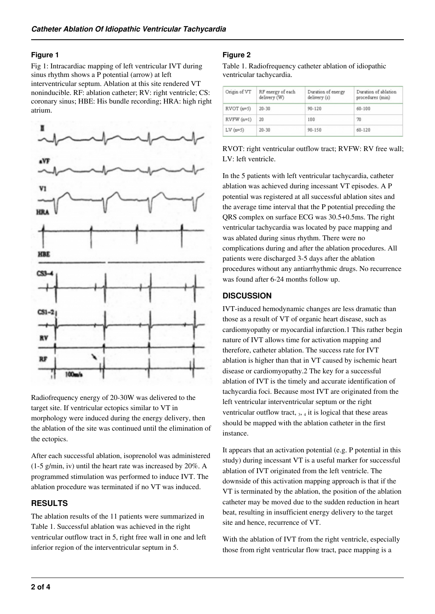#### **Figure 1**

Fig 1: Intracardiac mapping of left ventricular IVT during sinus rhythm shows a P potential (arrow) at left interventricular septum. Ablation at this site rendered VT noninducible. RF: ablation catheter; RV: right ventricle; CS: coronary sinus; HBE: His bundle recording; HRA: high right atrium.



Radiofrequency energy of 20-30W was delivered to the target site. If ventricular ectopics similar to VT in morphology were induced during the energy delivery, then the ablation of the site was continued until the elimination of the ectopics.

After each successful ablation, isoprenolol was administered (1-5 g/min, iv) until the heart rate was increased by 20%. A programmed stimulation was performed to induce IVT. The ablation procedure was terminated if no VT was induced.

## **RESULTS**

The ablation results of the 11 patients were summarized in Table 1. Successful ablation was achieved in the right ventricular outflow tract in 5, right free wall in one and left inferior region of the interventricular septum in 5.

## **Figure 2**

Table 1. Radiofrequency catheter ablation of idiopathic ventricular tachycardia.

| Ongin of VT | RF energy of each<br>delivery (W) | Duration of energy<br>delivery (s) | Duration of ablation<br>procedures (min) |
|-------------|-----------------------------------|------------------------------------|------------------------------------------|
| $RVOT(n=5)$ | $20 - 30$                         | $90 - 120$                         | $60 - 100$                               |
| $RVFW(n=1)$ | 20                                | 100                                | 70                                       |
| $LV(n=5)$   | $20 - 30$                         | 90-150                             | $60 - 120$                               |

RVOT: right ventricular outflow tract; RVFW: RV free wall; LV: left ventricle.

In the 5 patients with left ventricular tachycardia, catheter ablation was achieved during incessant VT episodes. A P potential was registered at all successful ablation sites and the average time interval that the P potential preceding the QRS complex on surface ECG was 30.5+0.5ms. The right ventricular tachycardia was located by pace mapping and was ablated during sinus rhythm. There were no complications during and after the ablation procedures. All patients were discharged 3-5 days after the ablation procedures without any antiarrhythmic drugs. No recurrence was found after 6-24 months follow up.

### **DISCUSSION**

IVT-induced hemodynamic changes are less dramatic than those as a result of VT of organic heart disease, such as cardiomyopathy or myocardial infarction.1 This rather begin nature of IVT allows time for activation mapping and therefore, catheter ablation. The success rate for IVT ablation is higher than that in VT caused by ischemic heart disease or cardiomyopathy.2 The key for a successful ablation of IVT is the timely and accurate identification of tachycardia foci. Because most IVT are originated from the left ventricular interventricular septum or the right ventricular outflow tract,  $_3$ ,  $_4$  it is logical that these areas should be mapped with the ablation catheter in the first instance.

It appears that an activation potential (e.g. P potential in this study) during incessant VT is a useful marker for successful ablation of IVT originated from the left ventricle. The downside of this activation mapping approach is that if the VT is terminated by the ablation, the position of the ablation catheter may be moved due to the sudden reduction in heart beat, resulting in insufficient energy delivery to the target site and hence, recurrence of VT.

With the ablation of IVT from the right ventricle, especially those from right ventricular flow tract, pace mapping is a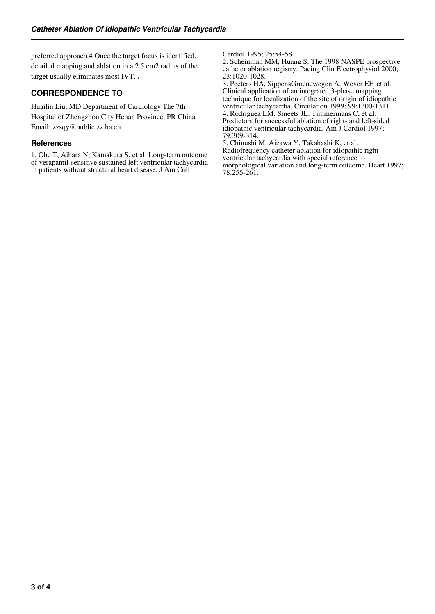preferred approach.4 Once the target focus is identified, detailed mapping and ablation in a 2.5 cm2 radius of the target usually eliminates most IVT.  $\frac{1}{2}$ 

## **CORRESPONDENCE TO**

Huailin Liu, MD Department of Cardiology The 7th Hospital of Zhengzhou City Henan Province, PR China Email: zzsqy@public.zz.ha.cn

#### **References**

1. Ohe T, Aihara N, Kamakura S, et al. Long-term outcome of verapamil-sensitive sustained left ventricular tachycardia in patients without structural heart disease. J Am Coll

Cardiol 1995; 25:54-58.

2. Scheinman MM, Huang S. The 1998 NASPE prospective catheter ablation registry. Pacing Clin Electrophysiol 2000; 23:1020-1028.

3. Peeters HA, SippensGroenewegen A, Wever EF, et al. Clinical application of an integrated 3-phase mapping technique for localization of the site of origin of idiopathic ventricular tachycardia. Circulation 1999; 99:1300-1311. 4. Rodriguez LM. Smeets JL. Timmermans C, et al. Predictors for successful ablation of right- and left-sided idiopathic ventricular tachycardia. Am J Cardiol 1997; 79:309-314.

5. Chinushi M, Aizawa Y, Takahashi K, et al. Radiofrequency catheter ablation for idiopathic right ventricular tachycardia with special reference to morphological variation and long-term outcome. Heart 1997; 78:255-261.